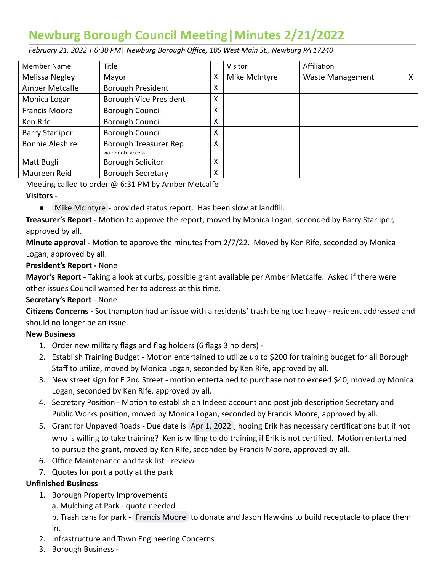# **Newburg Borough Council Meeng|Minutes 2/21/2022**

 *February 21, 2022 | 6:30 PM* | *Newburg Borough Office, 105 West Main St., Newburg PA 17240* 

| Member Name            | Title                                      |   | Visitor       | Affiliation             |   |
|------------------------|--------------------------------------------|---|---------------|-------------------------|---|
| Melissa Negley         | Mayor                                      | x | Mike McIntyre | <b>Waste Management</b> | х |
| Amber Metcalfe         | Borough President                          | x |               |                         |   |
| Monica Logan           | Borough Vice President                     | x |               |                         |   |
| <b>Francis Moore</b>   | Borough Council                            | x |               |                         |   |
| Ken Rife               | Borough Council                            | x |               |                         |   |
| <b>Barry Starliper</b> | <b>Borough Council</b>                     | χ |               |                         |   |
| <b>Bonnie Aleshire</b> | Borough Treasurer Rep<br>via remote access | Χ |               |                         |   |
| Matt Bugli             | <b>Borough Solicitor</b>                   | x |               |                         |   |
| Maureen Reid           | <b>Borough Secretary</b>                   | Χ |               |                         |   |

Meeting called to order  $\omega$  6:31 PM by Amber Metcalfe

#### **Visitors -**

● [Mike McIntyre](mailto:mmcinty2@wm.com) - provided status report. Has been slow at landfill.

**Treasurer's Report -** Motion to approve the report, moved by Monica Logan, seconded by Barry Starliper, approved by all.

**Minute approval -** Motion to approve the minutes from 2/7/22. Moved by Ken Rife, seconded by Monica Logan, approved by all.

### **President's Report -** None

 **Mayor's Report -** Taking a look at curbs, possible grant available per Amber Metcalfe. Asked if there were other issues Council wanted her to address at this time.

## **Secretary's Report** - None

Citizens Concerns - Southampton had an issue with a residents' trash being too heavy - resident addressed and should no longer be an issue.

## **New Business**

- 1. Order new military flags and flag holders (6 flags 3 holders) -
- 2. Establish Training Budget Motion entertained to utilize up to \$200 for training budget for all Borough Staff to utilize, moved by Monica Logan, seconded by Ken Rife, approved by all.
- 3. New street sign for E 2nd Street motion entertained to purchase not to exceed \$40, moved by Monica Logan, seconded by Ken Rife, approved by all.
- 4. Secretary Position Motion to establish an Indeed account and post job description Secretary and Public Works position, moved by Monica Logan, seconded by Francis Moore, approved by all.
- 5. Grant for Unpaved Roads Due date is Apr 1, 2022, hoping Erik has necessary certifications but if not who is willing to take training? Ken is willing to do training if Erik is not certified. Motion entertained to pursue the grant, moved by Ken RIfe, seconded by Francis Moore, approved by all.
- 6. Office Maintenance and task list review
- 7. Quotes for port a potty at the park

#### **Unfinished Business**

- 1. Borough Property Improvements
	- a. Mulching at Park quote needed

b.Trash cans for park - [Francis Moore](mailto:augu242001@gmail.com) to donate and Jason Hawkins to build receptacle to place them in.

- 2. Infrastructure and Town Engineering Concerns
- 3. Borough Business -